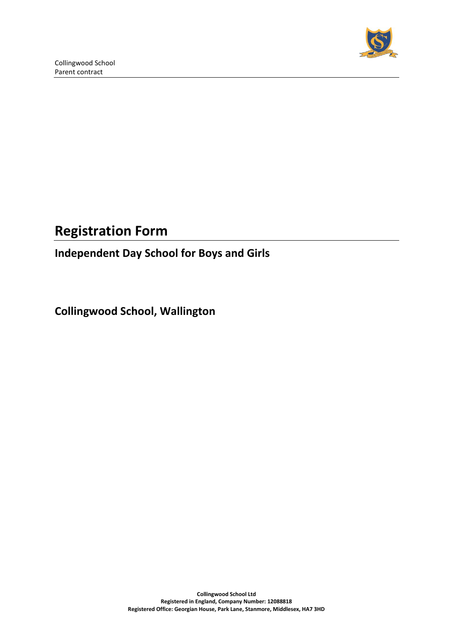

# **Registration Form**

## **Independent Day School for Boys and Girls**

**Collingwood School, Wallington**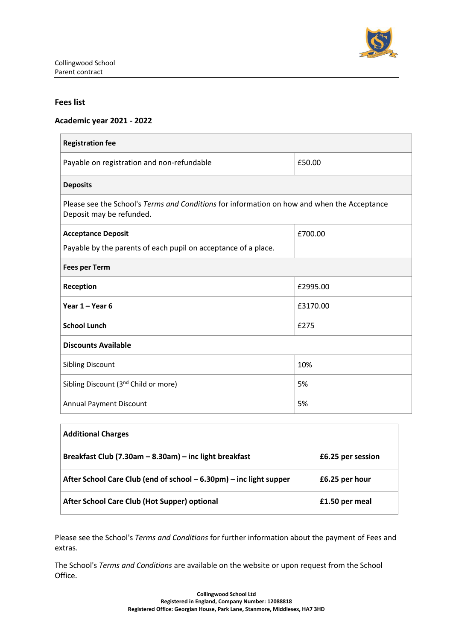

#### **Fees list**

#### **Academic year 2021 - 2022**

| <b>Registration fee</b>                                                                                                 |          |  |  |  |
|-------------------------------------------------------------------------------------------------------------------------|----------|--|--|--|
| Payable on registration and non-refundable                                                                              | £50.00   |  |  |  |
| <b>Deposits</b>                                                                                                         |          |  |  |  |
| Please see the School's Terms and Conditions for information on how and when the Acceptance<br>Deposit may be refunded. |          |  |  |  |
| <b>Acceptance Deposit</b>                                                                                               | £700.00  |  |  |  |
| Payable by the parents of each pupil on acceptance of a place.                                                          |          |  |  |  |
| <b>Fees per Term</b>                                                                                                    |          |  |  |  |
| Reception<br>£2995.00                                                                                                   |          |  |  |  |
| Year 1 - Year 6                                                                                                         | £3170.00 |  |  |  |
| <b>School Lunch</b>                                                                                                     | £275     |  |  |  |
| <b>Discounts Available</b>                                                                                              |          |  |  |  |
| <b>Sibling Discount</b>                                                                                                 | 10%      |  |  |  |
| Sibling Discount (3 <sup>nd</sup> Child or more)                                                                        | 5%       |  |  |  |
| <b>Annual Payment Discount</b>                                                                                          | 5%       |  |  |  |

| <b>Additional Charges</b>                                          |                   |
|--------------------------------------------------------------------|-------------------|
| Breakfast Club (7.30am - 8.30am) - inc light breakfast             | £6.25 per session |
| After School Care Club (end of school – 6.30pm) – inc light supper | £6.25 per hour    |
| After School Care Club (Hot Supper) optional                       | £1.50 per meal    |

Please see the School's *Terms and Conditions* for further information about the payment of Fees and extras.

The School's *Terms and Conditions* are available on the website or upon request from the School Office.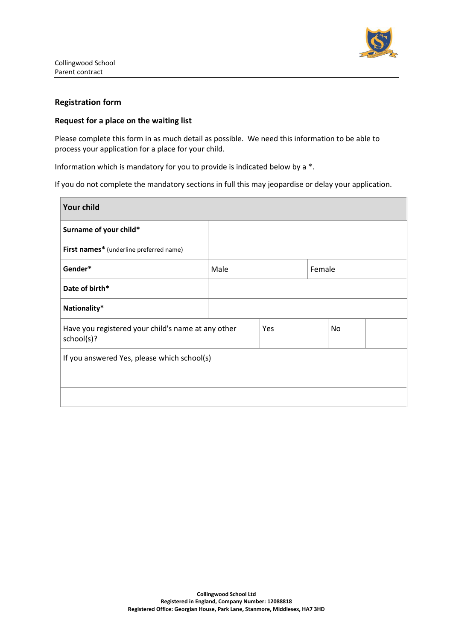

#### **Registration form**

#### **Request for a place on the waiting list**

Please complete this form in as much detail as possible. We need this information to be able to process your application for a place for your child.

Information which is mandatory for you to provide is indicated below by a \*.

If you do not complete the mandatory sections in full this may jeopardise or delay your application.

| <b>Your child</b>                                                |      |     |        |    |  |
|------------------------------------------------------------------|------|-----|--------|----|--|
| Surname of your child*                                           |      |     |        |    |  |
| First names* (underline preferred name)                          |      |     |        |    |  |
| Gender*                                                          | Male |     | Female |    |  |
| Date of birth*                                                   |      |     |        |    |  |
| Nationality*                                                     |      |     |        |    |  |
| Have you registered your child's name at any other<br>school(s)? |      | Yes |        | No |  |
| If you answered Yes, please which school(s)                      |      |     |        |    |  |
|                                                                  |      |     |        |    |  |
|                                                                  |      |     |        |    |  |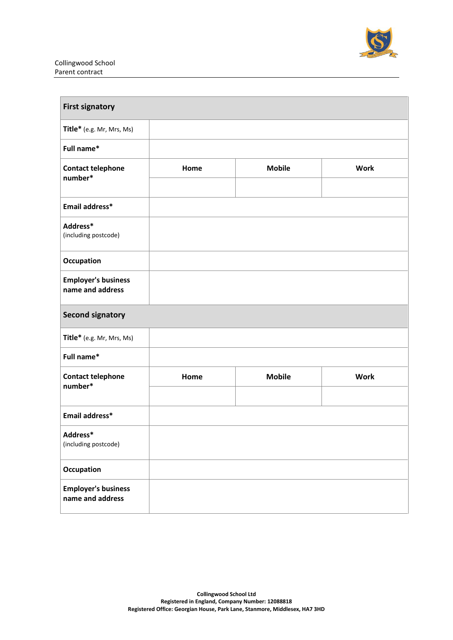

| <b>First signatory</b>                         |      |               |             |
|------------------------------------------------|------|---------------|-------------|
| Title* (e.g. Mr, Mrs, Ms)                      |      |               |             |
| Full name*                                     |      |               |             |
| <b>Contact telephone</b><br>number*            | Home | <b>Mobile</b> | <b>Work</b> |
|                                                |      |               |             |
| Email address*                                 |      |               |             |
| Address*<br>(including postcode)               |      |               |             |
| Occupation                                     |      |               |             |
| <b>Employer's business</b><br>name and address |      |               |             |
| <b>Second signatory</b>                        |      |               |             |
| Title* (e.g. Mr, Mrs, Ms)                      |      |               |             |
| Full name*                                     |      |               |             |
| <b>Contact telephone</b><br>number*            | Home | <b>Mobile</b> | <b>Work</b> |
|                                                |      |               |             |
| Email address*                                 |      |               |             |
| Address*<br>(including postcode)               |      |               |             |
| Occupation                                     |      |               |             |
| <b>Employer's business</b><br>name and address |      |               |             |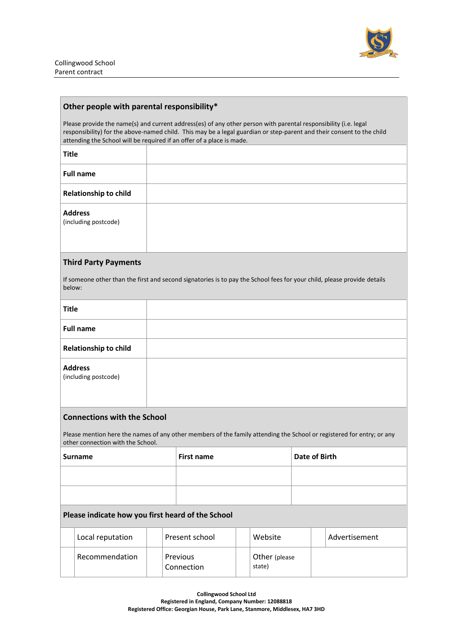

#### **Other people with parental responsibility\***

Please provide the name(s) and current address(es) of any other person with parental responsibility (i.e. legal responsibility) for the above-named child. This may be a legal guardian or step-parent and their consent to the child attending the School will be required if an offer of a place is made.

**Title**

| <b>Full name</b>                       |  |
|----------------------------------------|--|
| <b>Relationship to child</b>           |  |
| <b>Address</b><br>(including postcode) |  |

#### **Third Party Payments**

If someone other than the first and second signatories is to pay the School fees for your child, please provide details below:

| <b>Title</b>                                      |                                                                                                                                                            |                                    |                        |                         |  |               |
|---------------------------------------------------|------------------------------------------------------------------------------------------------------------------------------------------------------------|------------------------------------|------------------------|-------------------------|--|---------------|
|                                                   | <b>Full name</b>                                                                                                                                           |                                    |                        |                         |  |               |
|                                                   | <b>Relationship to child</b>                                                                                                                               |                                    |                        |                         |  |               |
|                                                   | <b>Address</b><br>(including postcode)                                                                                                                     |                                    |                        |                         |  |               |
| <b>Connections with the School</b>                |                                                                                                                                                            |                                    |                        |                         |  |               |
|                                                   | Please mention here the names of any other members of the family attending the School or registered for entry; or any<br>other connection with the School. |                                    |                        |                         |  |               |
|                                                   | <b>Surname</b>                                                                                                                                             | Date of Birth<br><b>First name</b> |                        |                         |  |               |
|                                                   |                                                                                                                                                            |                                    |                        |                         |  |               |
|                                                   |                                                                                                                                                            |                                    |                        |                         |  |               |
| Please indicate how you first heard of the School |                                                                                                                                                            |                                    |                        |                         |  |               |
|                                                   | Local reputation                                                                                                                                           |                                    | Present school         | Website                 |  | Advertisement |
|                                                   | Recommendation                                                                                                                                             |                                    | Previous<br>Connection | Other (please<br>state) |  |               |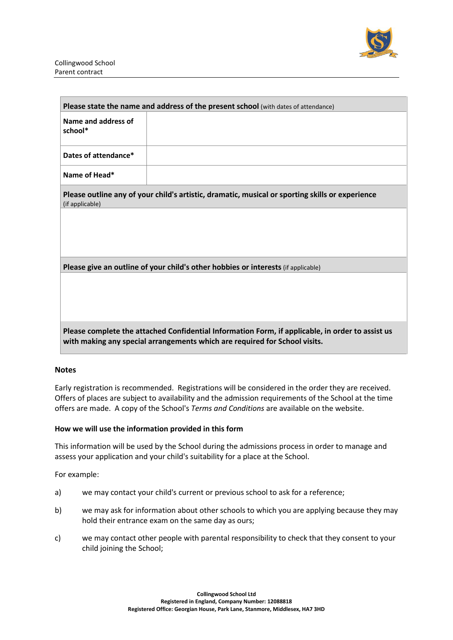

| Please state the name and address of the present school (with dates of attendance)                                                                                             |  |  |  |  |
|--------------------------------------------------------------------------------------------------------------------------------------------------------------------------------|--|--|--|--|
| Name and address of<br>school*                                                                                                                                                 |  |  |  |  |
| Dates of attendance*                                                                                                                                                           |  |  |  |  |
| Name of Head*                                                                                                                                                                  |  |  |  |  |
| Please outline any of your child's artistic, dramatic, musical or sporting skills or experience<br>(if applicable)                                                             |  |  |  |  |
|                                                                                                                                                                                |  |  |  |  |
|                                                                                                                                                                                |  |  |  |  |
| Please give an outline of your child's other hobbies or interests (if applicable)                                                                                              |  |  |  |  |
|                                                                                                                                                                                |  |  |  |  |
|                                                                                                                                                                                |  |  |  |  |
|                                                                                                                                                                                |  |  |  |  |
| Please complete the attached Confidential Information Form, if applicable, in order to assist us<br>with making any special arrangements which are required for School visits. |  |  |  |  |

#### **Notes**

Early registration is recommended. Registrations will be considered in the order they are received. Offers of places are subject to availability and the admission requirements of the School at the time offers are made. A copy of the School's *Terms and Conditions* are available on the website.

#### **How we will use the information provided in this form**

This information will be used by the School during the admissions process in order to manage and assess your application and your child's suitability for a place at the School.

For example:

- a) we may contact your child's current or previous school to ask for a reference;
- b) we may ask for information about other schools to which you are applying because they may hold their entrance exam on the same day as ours;
- c) we may contact other people with parental responsibility to check that they consent to your child joining the School;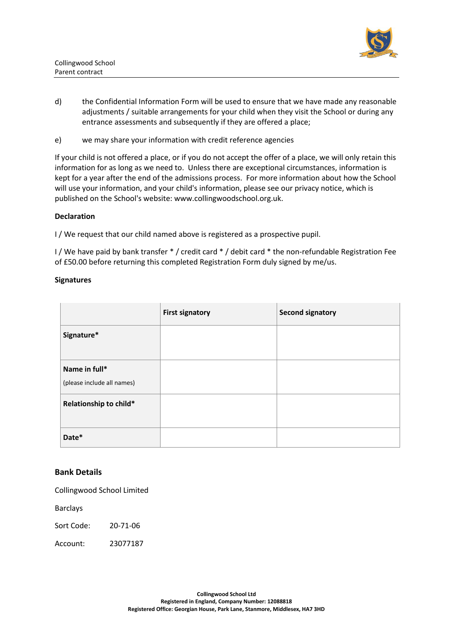

- d) the Confidential Information Form will be used to ensure that we have made any reasonable adjustments / suitable arrangements for your child when they visit the School or during any entrance assessments and subsequently if they are offered a place;
- e) we may share your information with credit reference agencies

If your child is not offered a place, or if you do not accept the offer of a place, we will only retain this information for as long as we need to. Unless there are exceptional circumstances, information is kept for a year after the end of the admissions process. For more information about how the School will use your information, and your child's information, please see our privacy notice, which is published on the School's website: www.collingwoodschool.org.uk.

#### **Declaration**

I / We request that our child named above is registered as a prospective pupil.

I / We have paid by bank transfer \* / credit card \* / debit card \* the non-refundable Registration Fee of £50.00 before returning this completed Registration Form duly signed by me/us.

#### **Signatures**

|                                             | <b>First signatory</b> | <b>Second signatory</b> |
|---------------------------------------------|------------------------|-------------------------|
| Signature*                                  |                        |                         |
| Name in full*<br>(please include all names) |                        |                         |
| Relationship to child*                      |                        |                         |
| Date*                                       |                        |                         |

### **Bank Details**

Collingwood School Limited

Barclays

Sort Code: 20-71-06

Account: 23077187